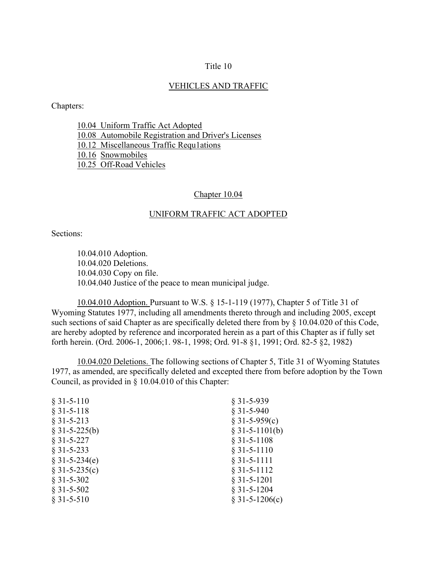## Title 10

## VEHICLES AND TRAFFIC

Chapters:

10.04 Uniform Traffic Act Adopted 10.08 Automobile Registration and Driver's Licenses 10.12 Miscellaneous Traffic Requ1ations 10.16 Snowmobiles 10.25 Off-Road Vehicles

#### Chapter 10.04

## UNIFORM TRAFFIC ACT ADOPTED

Sections:

10.04.010 Adoption. 10.04.020 Deletions. 10.04.030 Copy on file. 10.04.040 Justice of the peace to mean municipal judge.

10.04.010 Adoption. Pursuant to W.S. § 15-1-119 (1977), Chapter 5 of Title 31 of Wyoming Statutes 1977, including all amendments thereto through and including 2005, except such sections of said Chapter as are specifically deleted there from by § 10.04.020 of this Code, are hereby adopted by reference and incorporated herein as a part of this Chapter as if fully set forth herein. (Ord. 2006-1, 2006;1. 98-1, 1998; Ord. 91-8 §1, 1991; Ord. 82-5 §2, 1982)

 10.04.020 Deletions. The following sections of Chapter 5, Title 31 of Wyoming Statutes 1977, as amended, are specifically deleted and excepted there from before adoption by the Town Council, as provided in § 10.04.010 of this Chapter:

| $§$ 31-5-110     | $§$ 31-5-939     |
|------------------|------------------|
| $§$ 31-5-118     | $§$ 31-5-940     |
| $§$ 31-5-213     | $§ 31-5-959(c)$  |
| $§$ 31-5-225(b)  | $§$ 31-5-1101(b) |
| $§ 31 - 5 - 227$ | $§$ 31-5-1108    |
| $§$ 31-5-233     | $§$ 31-5-1110    |
| $§ 31-5-234(e)$  | $§$ 31-5-1111    |
| $§ 31-5-235(c)$  | $§$ 31-5-1112    |
| $§$ 31-5-302     | $§$ 31-5-1201    |
| $§$ 31-5-502     | $§$ 31-5-1204    |
| $$31-5-510$      | $§ 31-5-1206(c)$ |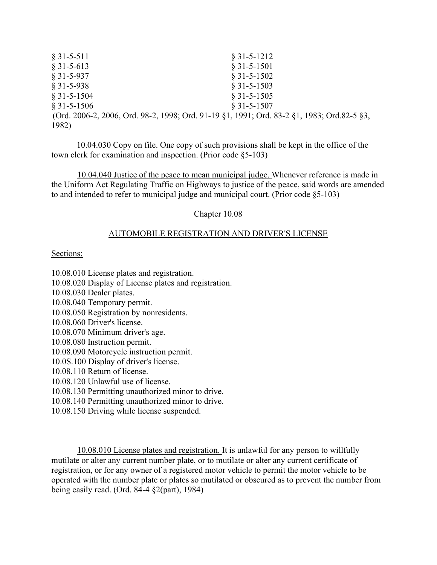| $§$ 31-5-511  | $§ 31-5-1212$                                                                              |
|---------------|--------------------------------------------------------------------------------------------|
| $§$ 31-5-613  | $§$ 31-5-1501                                                                              |
| $§$ 31-5-937  | $§$ 31-5-1502                                                                              |
| $§$ 31-5-938  | $§$ 31-5-1503                                                                              |
| $§$ 31-5-1504 | $§$ 31-5-1505                                                                              |
| $$31-5-1506$  | $§$ 31-5-1507                                                                              |
|               | (Ord. 2006-2, 2006, Ord. 98-2, 1998; Ord. 91-19 §1, 1991; Ord. 83-2 §1, 1983; Ord.82-5 §3, |
| 1982)         |                                                                                            |

10.04.030 Copy on file. One copy of such provisions shall be kept in the office of the town clerk for examination and inspection. (Prior code §5-103)

10.04.040 Justice of the peace to mean municipal judge. Whenever reference is made in the Uniform Act Regulating Traffic on Highways to justice of the peace, said words are amended to and intended to refer to municipal judge and municipal court. (Prior code §5-103)

## Chapter 10.08

## AUTOMOBILE REGISTRATION AND DRIVER'S LICENSE

### Sections:

10.08.010 License plates and registration. 10.08.020 Display of License plates and registration. 10.08.030 Dealer plates. 10.08.040 Temporary permit. 10.08.050 Registration by nonresidents. 10.08.060 Driver's license. 10.08.070 Minimum driver's age. 10.08.080 Instruction permit. 10.08.090 Motorcycle instruction permit. 10.0S.100 Display of driver's license. 10.08.110 Return of license. 10.08.120 Unlawful use of license. 10.08.130 Permitting unauthorized minor to drive. 10.08.140 Permitting unauthorized minor to drive. 10.08.150 Driving while license suspended.

10.08.010 License plates and registration. It is unlawful for any person to willfully mutilate or alter any current number plate, or to mutilate or alter any current certificate of registration, or for any owner of a registered motor vehicle to permit the motor vehicle to be operated with the number plate or plates so mutilated or obscured as to prevent the number from being easily read. (Ord. 84-4 §2(part), 1984)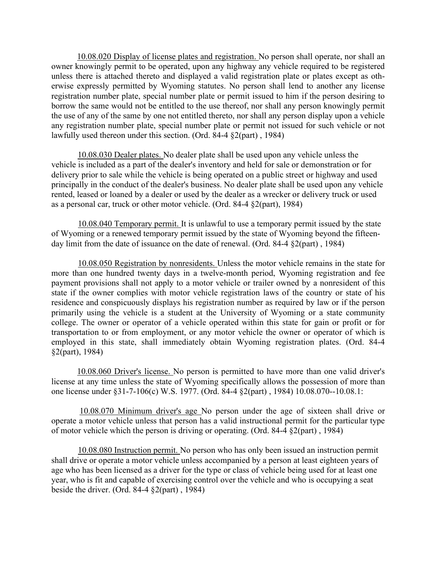10.08.020 Display of license plates and registration. No person shall operate, nor shall an owner knowingly permit to be operated, upon any highway any vehicle required to be registered unless there is attached thereto and displayed a valid registration plate or plates except as otherwise expressly permitted by Wyoming statutes. No person shall lend to another any license registration number plate, special number plate or permit issued to him if the person desiring to borrow the same would not be entitled to the use thereof, nor shall any person knowingly permit the use of any of the same by one not entitled thereto, nor shall any person display upon a vehicle any registration number plate, special number plate or permit not issued for such vehicle or not lawfully used thereon under this section. (Ord. 84-4 §2(part) , 1984)

10.08.030 Dealer plates. No dealer plate shall be used upon any vehicle unless the vehicle is included as a part of the dealer's inventory and held for sale or demonstration or for delivery prior to sale while the vehicle is being operated on a public street or highway and used principally in the conduct of the dealer's business. No dealer plate shall be used upon any vehicle rented, leased or loaned by a dealer or used by the dealer as a wrecker or delivery truck or used as a personal car, truck or other motor vehicle. (Ord. 84-4 §2(part), 1984)

10.08.040 Temporary permit. It is unlawful to use a temporary permit issued by the state of Wyoming or a renewed temporary permit issued by the state of Wyoming beyond the fifteenday limit from the date of issuance on the date of renewal. (Ord. 84-4 §2(part) , 1984)

10.08.050 Registration by nonresidents. Unless the motor vehicle remains in the state for more than one hundred twenty days in a twelve-month period, Wyoming registration and fee payment provisions shall not apply to a motor vehicle or trailer owned by a nonresident of this state if the owner complies with motor vehicle registration laws of the country or state of his residence and conspicuously displays his registration number as required by law or if the person primarily using the vehicle is a student at the University of Wyoming or a state community college. The owner or operator of a vehicle operated within this state for gain or profit or for transportation to or from employment, or any motor vehicle the owner or operator of which is employed in this state, shall immediately obtain Wyoming registration plates. (Ord. 84-4 §2(part), 1984)

10.08.060 Driver's license. No person is permitted to have more than one valid driver's license at any time unless the state of Wyoming specifically allows the possession of more than one license under §31-7-106(c) W.S. 1977. (Ord. 84-4 §2(part) , 1984) 10.08.070--10.08.1:

 10.08.070 Minimum driver's age No person under the age of sixteen shall drive or operate a motor vehicle unless that person has a valid instructional permit for the particular type of motor vehicle which the person is driving or operating. (Ord. 84-4 §2(part) , 1984)

10.08.080 Instruction permit. No person who has only been issued an instruction permit shall drive or operate a motor vehicle unless accompanied by a person at least eighteen years of age who has been licensed as a driver for the type or class of vehicle being used for at least one year, who is fit and capable of exercising control over the vehicle and who is occupying a seat beside the driver. (Ord. 84-4 §2(part) , 1984)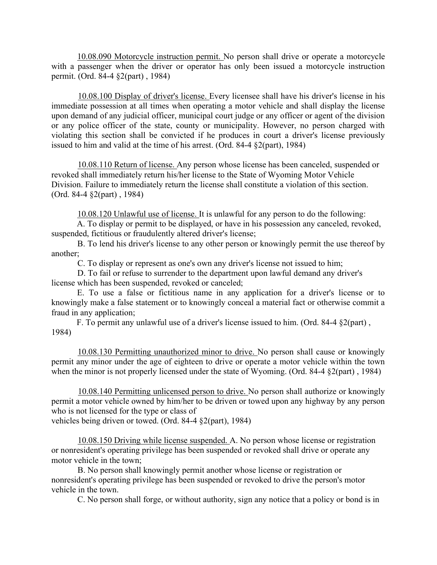10.08.090 Motorcycle instruction permit. No person shall drive or operate a motorcycle with a passenger when the driver or operator has only been issued a motorcycle instruction permit. (Ord. 84-4 §2(part) , 1984)

10.08.100 Display of driver's license. Every licensee shall have his driver's license in his immediate possession at all times when operating a motor vehicle and shall display the license upon demand of any judicial officer, municipal court judge or any officer or agent of the division or any police officer of the state, county or municipality. However, no person charged with violating this section shall be convicted if he produces in court a driver's license previously issued to him and valid at the time of his arrest. (Ord. 84-4 §2(part), 1984)

10.08.110 Return of license. Any person whose license has been canceled, suspended or revoked shall immediately return his/her license to the State of Wyoming Motor Vehicle Division. Failure to immediately return the license shall constitute a violation of this section. (Ord. 84-4 §2(part) , 1984)

10.08.120 Unlawful use of license. It is unlawful for any person to do the following:

A. To display or permit to be displayed, or have in his possession any canceled, revoked, suspended, fictitious or fraudulently altered driver's license;

 B. To lend his driver's license to any other person or knowingly permit the use thereof by another;

C. To display or represent as one's own any driver's license not issued to him;

D. To fail or refuse to surrender to the department upon lawful demand any driver's license which has been suspended, revoked or canceled;

 E. To use a false or fictitious name in any application for a driver's license or to knowingly make a false statement or to knowingly conceal a material fact or otherwise commit a fraud in any application;

F. To permit any unlawful use of a driver's license issued to him. (Ord. 84-4 §2(part) , 1984)

10.08.130 Permitting unauthorized minor to drive. No person shall cause or knowingly permit any minor under the age of eighteen to drive or operate a motor vehicle within the town when the minor is not properly licensed under the state of Wyoming. (Ord. 84-4  $\S2$ (part), 1984)

10.08.140 Permitting unlicensed person to drive. No person shall authorize or knowingly permit a motor vehicle owned by him/her to be driven or towed upon any highway by any person who is not licensed for the type or class of

vehicles being driven or towed. (Ord. 84-4 §2(part), 1984)

10.08.150 Driving while license suspended. A. No person whose license or registration or nonresident's operating privilege has been suspended or revoked shall drive or operate any motor vehicle in the town;

B. No person shall knowingly permit another whose license or registration or nonresident's operating privilege has been suspended or revoked to drive the person's motor vehicle in the town.

C. No person shall forge, or without authority, sign any notice that a policy or bond is in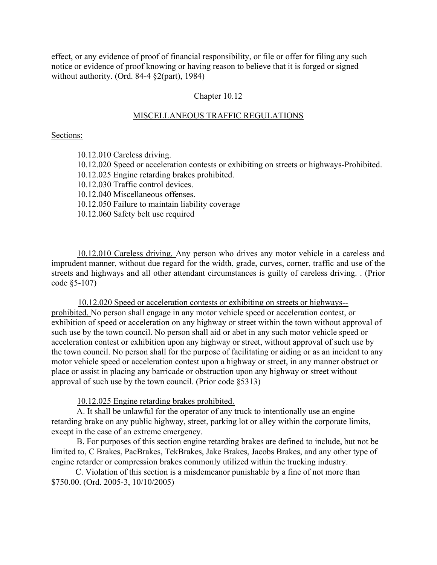effect, or any evidence of proof of financial responsibility, or file or offer for filing any such notice or evidence of proof knowing or having reason to believe that it is forged or signed without authority. (Ord. 84-4 §2(part), 1984)

## Chapter 10.12

## MISCELLANEOUS TRAFFIC REGULATIONS

#### Sections:

10.12.010 Careless driving.

10.12.020 Speed or acceleration contests or exhibiting on streets or highways-Prohibited.

10.12.025 Engine retarding brakes prohibited.

10.12.030 Traffic control devices.

10.12.040 Miscellaneous offenses.

10.12.050 Failure to maintain liability coverage

10.12.060 Safety belt use required

10.12.010 Careless driving. Any person who drives any motor vehicle in a careless and imprudent manner, without due regard for the width, grade, curves, corner, traffic and use of the streets and highways and all other attendant circumstances is guilty of careless driving. . (Prior code §5-107)

10.12.020 Speed or acceleration contests or exhibiting on streets or highways- prohibited. No person shall engage in any motor vehicle speed or acceleration contest, or exhibition of speed or acceleration on any highway or street within the town without approval of such use by the town council. No person shall aid or abet in any such motor vehicle speed or acceleration contest or exhibition upon any highway or street, without approval of such use by the town council. No person shall for the purpose of facilitating or aiding or as an incident to any motor vehicle speed or acceleration contest upon a highway or street, in any manner obstruct or place or assist in placing any barricade or obstruction upon any highway or street without approval of such use by the town council. (Prior code §5313)

10.12.025 Engine retarding brakes prohibited.

A. It shall be unlawful for the operator of any truck to intentionally use an engine retarding brake on any public highway, street, parking lot or alley within the corporate limits, except in the case of an extreme emergency.

B. For purposes of this section engine retarding brakes are defined to include, but not be limited to, C Brakes, PacBrakes, TekBrakes, Jake Brakes, Jacobs Brakes, and any other type of engine retarder or compression brakes commonly utilized within the trucking industry.

C. Violation of this section is a misdemeanor punishable by a fine of not more than \$750.00. (Ord. 2005-3, 10/10/2005)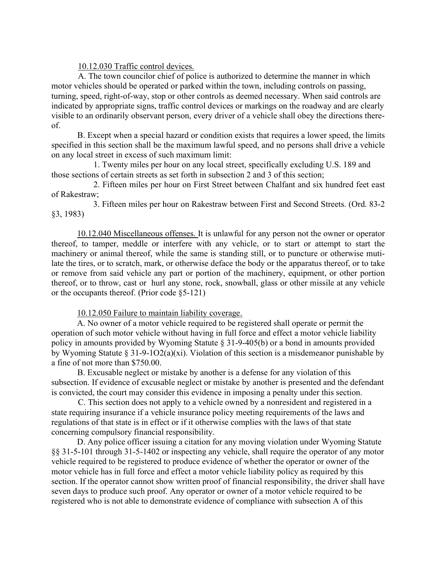## 10.12.030 Traffic control devices.

A. The town councilor chief of police is authorized to determine the manner in which motor vehicles should be operated or parked within the town, including controls on passing, turning, speed, right-of-way, stop or other controls as deemed necessary. When said controls are indicated by appropriate signs, traffic control devices or markings on the roadway and are clearly visible to an ordinarily observant person, every driver of a vehicle shall obey the directions thereof.

B. Except when a special hazard or condition exists that requires a lower speed, the limits specified in this section shall be the maximum lawful speed, and no persons shall drive a vehicle on any local street in excess of such maximum limit:

1. Twenty miles per hour on any local street, specifically excluding U.S. 189 and those sections of certain streets as set forth in subsection 2 and 3 of this section;

2. Fifteen miles per hour on First Street between Chalfant and six hundred feet east of Rakestraw;

 3. Fifteen miles per hour on Rakestraw between First and Second Streets. (Ord. 83-2 §3, 1983)

10.12.040 Miscellaneous offenses. It is unlawful for any person not the owner or operator thereof, to tamper, meddle or interfere with any vehicle, or to start or attempt to start the machinery or animal thereof, while the same is standing still, or to puncture or otherwise mutilate the tires, or to scratch, mark, or otherwise deface the body or the apparatus thereof, or to take or remove from said vehicle any part or portion of the machinery, equipment, or other portion thereof, or to throw, cast or hurl any stone, rock, snowball, glass or other missile at any vehicle or the occupants thereof. (Prior code §5-121)

10.12.050 Failure to maintain liability coverage.

A. No owner of a motor vehicle required to be registered shall operate or permit the operation of such motor vehicle without having in full force and effect a motor vehicle liability policy in amounts provided by Wyoming Statute § 31-9-405(b) or a bond in amounts provided by Wyoming Statute § 31-9-1O2(a)(xi). Violation of this section is a misdemeanor punishable by a fine of not more than \$750.00.

B. Excusable neglect or mistake by another is a defense for any violation of this subsection. If evidence of excusable neglect or mistake by another is presented and the defendant is convicted, the court may consider this evidence in imposing a penalty under this section.

C. This section does not apply to a vehicle owned by a nonresident and registered in a state requiring insurance if a vehicle insurance policy meeting requirements of the laws and regulations of that state is in effect or if it otherwise complies with the laws of that state concerning compulsory financial responsibility.

 D. Any police officer issuing a citation for any moving violation under Wyoming Statute §§ 31-5-101 through 31-5-1402 or inspecting any vehicle, shall require the operator of any motor vehicle required to be registered to produce evidence of whether the operator or owner of the motor vehicle has in full force and effect a motor vehicle liability policy as required by this section. If the operator cannot show written proof of financial responsibility, the driver shall have seven days to produce such proof. Any operator or owner of a motor vehicle required to be registered who is not able to demonstrate evidence of compliance with subsection A of this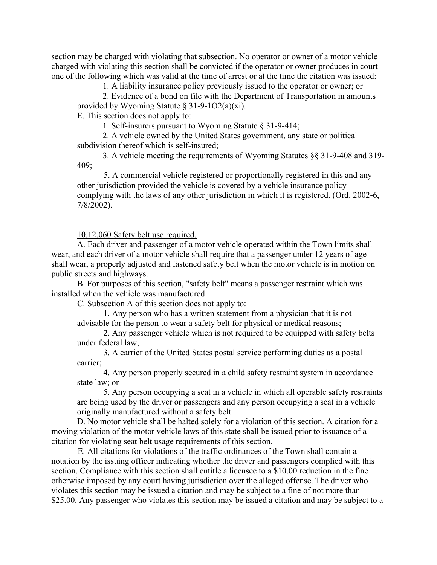section may be charged with violating that subsection. No operator or owner of a motor vehicle charged with violating this section shall be convicted if the operator or owner produces in court one of the following which was valid at the time of arrest or at the time the citation was issued:

1. A liability insurance policy previously issued to the operator or owner; or

2. Evidence of a bond on file with the Department of Transportation in amounts provided by Wyoming Statute  $\S 31-9-1O(2a)(xi)$ .

E. This section does not apply to:

1. Self-insurers pursuant to Wyoming Statute § 31-9-414;

2. A vehicle owned by the United States government, any state or political subdivision thereof which is self-insured;

 3. A vehicle meeting the requirements of Wyoming Statutes §§ 31-9-408 and 319- 409;

5. A commercial vehicle registered or proportionally registered in this and any other jurisdiction provided the vehicle is covered by a vehicle insurance policy complying with the laws of any other jurisdiction in which it is registered. (Ord. 2002-6, 7/8/2002).

10.12.060 Safety belt use required.

A. Each driver and passenger of a motor vehicle operated within the Town limits shall wear, and each driver of a motor vehicle shall require that a passenger under 12 years of age shall wear, a properly adjusted and fastened safety belt when the motor vehicle is in motion on public streets and highways.

 B. For purposes of this section, "safety belt" means a passenger restraint which was installed when the vehicle was manufactured.

C. Subsection A of this section does not apply to:

 1. Any person who has a written statement from a physician that it is not advisable for the person to wear a safety belt for physical or medical reasons;

 2. Any passenger vehicle which is not required to be equipped with safety belts under federal law;

 3. A carrier of the United States postal service performing duties as a postal carrier;

 4. Any person properly secured in a child safety restraint system in accordance state law; or

5. Any person occupying a seat in a vehicle in which all operable safety restraints are being used by the driver or passengers and any person occupying a seat in a vehicle originally manufactured without a safety belt.

D. No motor vehicle shall be halted solely for a violation of this section. A citation for a moving violation of the motor vehicle laws of this state shall be issued prior to issuance of a citation for violating seat belt usage requirements of this section.

E. All citations for violations of the traffic ordinances of the Town shall contain a notation by the issuing officer indicating whether the driver and passengers complied with this section. Compliance with this section shall entitle a licensee to a \$10.00 reduction in the fine otherwise imposed by any court having jurisdiction over the alleged offense. The driver who violates this section may be issued a citation and may be subject to a fine of not more than \$25.00. Any passenger who violates this section may be issued a citation and may be subject to a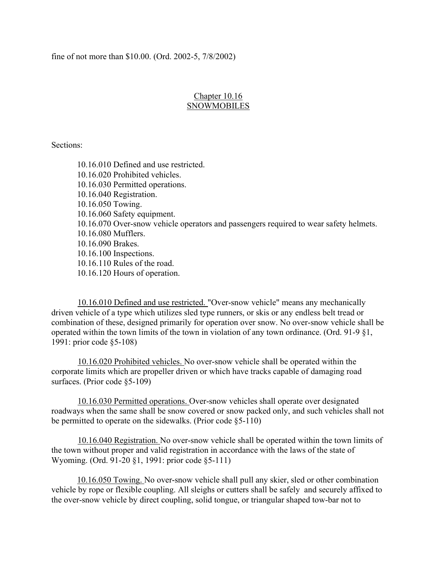fine of not more than \$10.00. (Ord. 2002-5, 7/8/2002)

# Chapter 10.16 **SNOWMOBILES**

Sections:

10.16.010 Defined and use restricted. 10.16.020 Prohibited vehicles. 10.16.030 Permitted operations. 10.16.040 Registration. 10.16.050 Towing. 10.16.060 Safety equipment. 10.16.070 Over-snow vehicle operators and passengers required to wear safety helmets. 10.16.080 Mufflers. 10.16.090 Brakes. 10.16.100 Inspections. 10.16.110 Rules of the road. 10.16.120 Hours of operation.

10.16.010 Defined and use restricted. "Over-snow vehicle" means any mechanically driven vehicle of a type which utilizes sled type runners, or skis or any endless belt tread or combination of these, designed primarily for operation over snow. No over-snow vehicle shall be operated within the town limits of the town in violation of any town ordinance. (Ord. 91-9 §1, 1991: prior code §5-108)

10.16.020 Prohibited vehicles. No over-snow vehicle shall be operated within the corporate limits which are propeller driven or which have tracks capable of damaging road surfaces. (Prior code §5-109)

10.16.030 Permitted operations. Over-snow vehicles shall operate over designated roadways when the same shall be snow covered or snow packed only, and such vehicles shall not be permitted to operate on the sidewalks. (Prior code §5-110)

10.16.040 Registration. No over-snow vehicle shall be operated within the town limits of the town without proper and valid registration in accordance with the laws of the state of Wyoming. (Ord. 91-20 §1, 1991: prior code §5-111)

10.16.050 Towing. No over-snow vehicle shall pull any skier, sled or other combination vehicle by rope or flexible coupling. All sleighs or cutters shall be safely and securely affixed to the over-snow vehicle by direct coupling, solid tongue, or triangular shaped tow-bar not to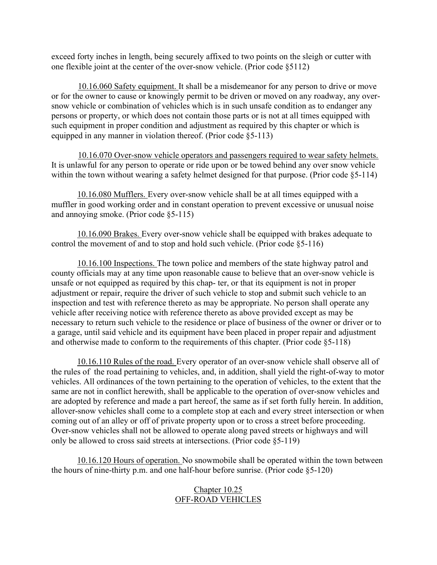exceed forty inches in length, being securely affixed to two points on the sleigh or cutter with one flexible joint at the center of the over-snow vehicle. (Prior code §5112)

10.16.060 Safety equipment. It shall be a misdemeanor for any person to drive or move or for the owner to cause or knowingly permit to be driven or moved on any roadway, any oversnow vehicle or combination of vehicles which is in such unsafe condition as to endanger any persons or property, or which does not contain those parts or is not at all times equipped with such equipment in proper condition and adjustment as required by this chapter or which is equipped in any manner in violation thereof. (Prior code §5-113)

10.16.070 Over-snow vehicle operators and passengers required to wear safety helmets. It is unlawful for any person to operate or ride upon or be towed behind any over snow vehicle within the town without wearing a safety helmet designed for that purpose. (Prior code §5-114)

10.16.080 Mufflers. Every over-snow vehicle shall be at all times equipped with a muffler in good working order and in constant operation to prevent excessive or unusual noise and annoying smoke. (Prior code §5-115)

10.16.090 Brakes. Every over-snow vehicle shall be equipped with brakes adequate to control the movement of and to stop and hold such vehicle. (Prior code §5-116)

10.16.100 Inspections. The town police and members of the state highway patrol and county officials may at any time upon reasonable cause to believe that an over-snow vehicle is unsafe or not equipped as required by this chap- ter, or that its equipment is not in proper adjustment or repair, require the driver of such vehicle to stop and submit such vehicle to an inspection and test with reference thereto as may be appropriate. No person shall operate any vehicle after receiving notice with reference thereto as above provided except as may be necessary to return such vehicle to the residence or place of business of the owner or driver or to a garage, until said vehicle and its equipment have been placed in proper repair and adjustment and otherwise made to conform to the requirements of this chapter. (Prior code §5-118)

10.16.110 Rules of the road. Every operator of an over-snow vehicle shall observe all of the rules of the road pertaining to vehicles, and, in addition, shall yield the right-of-way to motor vehicles. All ordinances of the town pertaining to the operation of vehicles, to the extent that the same are not in conflict herewith, shall be applicable to the operation of over-snow vehicles and are adopted by reference and made a part hereof, the same as if set forth fully herein. In addition, allover-snow vehicles shall come to a complete stop at each and every street intersection or when coming out of an alley or off of private property upon or to cross a street before proceeding. Over-snow vehicles shall not be allowed to operate along paved streets or highways and will only be allowed to cross said streets at intersections. (Prior code §5-119)

10.16.120 Hours of operation. No snowmobile shall be operated within the town between the hours of nine-thirty p.m. and one half-hour before sunrise. (Prior code §5-120)

## Chapter 10.25 OFF-ROAD VEHICLES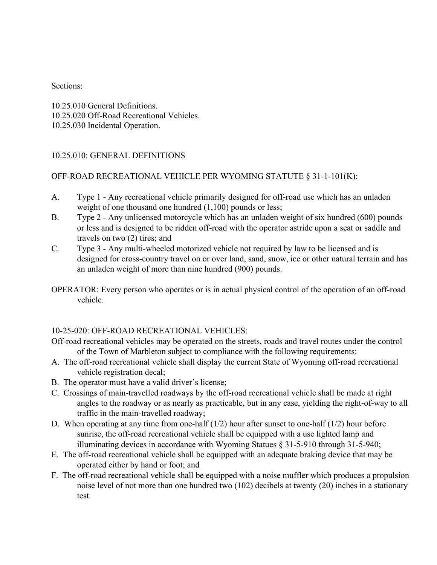## Sections:

10.25.010 General Definitions. 10.25.020 Off-Road Recreational Vehicles. 10.25.030 Incidental Operation.

# 10.25.010: GENERAL DEFINITIONS

# OFF-ROAD RECREATIONAL VEHICLE PER WYOMING STATUTE § 31-1-101(K):

- A. Type 1 Any recreational vehicle primarily designed for off-road use which has an unladen weight of one thousand one hundred  $(1,100)$  pounds or less;
- B. Type 2 Any unlicensed motorcycle which has an unladen weight of six hundred (600) pounds or less and is designed to be ridden off-road with the operator astride upon a seat or saddle and travels on two (2) tires; and
- C. Type 3 Any multi-wheeled motorized vehicle not required by law to be licensed and is designed for cross-country travel on or over land, sand, snow, ice or other natural terrain and has an unladen weight of more than nine hundred (900) pounds.
- OPERATOR: Every person who operates or is in actual physical control of the operation of an off-road vehicle.

# 10-25-020: OFF-ROAD RECREATIONAL VEHICLES:

- Off-road recreational vehicles may be operated on the streets, roads and travel routes under the control of the Town of Marbleton subject to compliance with the following requirements:
- A. The off-road recreational vehicle shall display the current State of Wyoming off-road recreational vehicle registration decal;
- B. The operator must have a valid driver's license;
- C. Crossings of main-travelled roadways by the off-road recreational vehicle shall be made at right angles to the roadway or as nearly as practicable, but in any case, yielding the right-of-way to all traffic in the main-travelled roadway;
- D. When operating at any time from one-half (1/2) hour after sunset to one-half (1/2) hour before sunrise, the off-road recreational vehicle shall be equipped with a use lighted lamp and illuminating devices in accordance with Wyoming Statues § 31-5-910 through 31-5-940;
- E. The off-road recreational vehicle shall be equipped with an adequate braking device that may be operated either by hand or foot; and
- F. The off-road recreational vehicle shall be equipped with a noise muffler which produces a propulsion noise level of not more than one hundred two (102) decibels at twenty (20) inches in a stationary test.